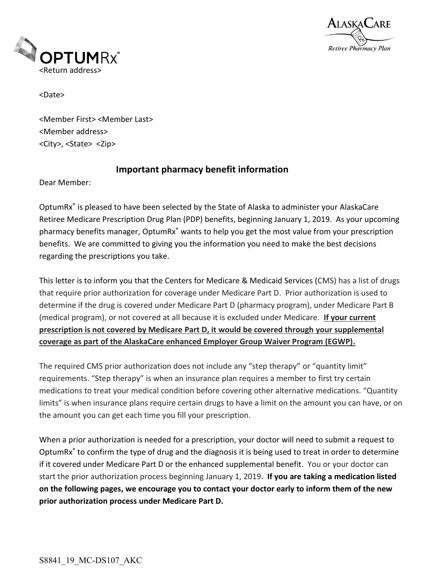



<Date>

<Member First> <Member Last> <Member address> <City>, <State> <Zip>

## **Important pharmacy benefit information**

Dear Member:

OptumRx® is pleased to have been selected by the State of Alaska to administer your AlaskaCare Retiree Medicare Prescription Drug Plan (PDP) benefits, beginning January 1, 2019. As your upcoming pharmacy benefits manager, OptumRx<sup>®</sup> wants to help you get the most value from your prescription benefits. We are committed to giving you the information you need to make the best decisions regarding the prescriptions you take.

This letter is to inform you that the Centers for Medicare & Medicaid Services (CMS) has a list of drugs that require prior authorization for coverage under Medicare Part D. Prior authorization is used to determine if the drug is covered under Medicare Part D (pharmacy program), under Medicare Part B (medical program), or not covered at all because it is excluded under Medicare. **If your current prescription is not covered by Medicare Part D, it would be covered through your supplemental coverage as part of the AlaskaCare enhanced Employer Group Waiver Program (EGWP).**

The required CMS prior authorization does not include any "step therapy" or "quantity limit" requirements. "Step therapy" is when an insurance plan requires a member to first try certain medications to treat your medical condition before covering other alternative medications. "Quantity limits" is when insurance plans require certain drugs to have a limit on the amount you can have, or on the amount you can get each time you fill your prescription.

When a prior authorization is needed for a prescription, your doctor will need to submit a request to OptumRx<sup>®</sup> to confirm the type of drug and the diagnosis it is being used to treat in order to determine if it covered under Medicare Part D or the enhanced supplemental benefit. You or your doctor can start the prior authorization process beginning January 1, 2019. **If you are taking a medication listed on the following pages, we encourage you to contact your doctor early to inform them of the new prior authorization process under Medicare Part D.**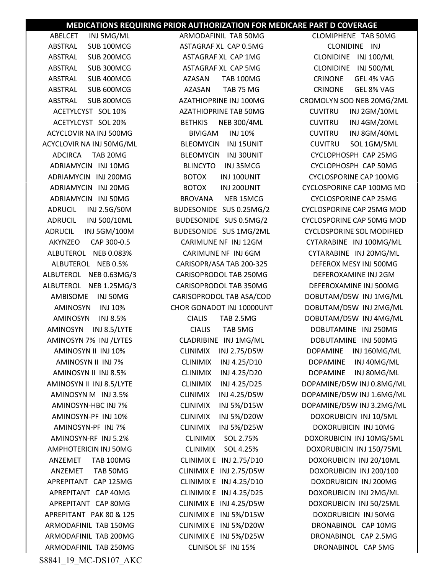## **MEDICATIONS REQUIRING PRIOR AUTHORIZATION FOR MEDICARE PART D COVERAGE**

ABELCET INJ 5MG/ML ARMODAFINIL TAB 50MG CLOMIPHENE TAB 50MG ACYCLOVIR NA INJ 50MG/ML BLEOMYCIN INJ 15UNIT CUVITRU SOL 1GM/5ML ALBUTEROL NEB 0.63MG/3 CARISOPRODOL TAB 250MG DEFEROXAMINE INJ 2GM APREPITANT PAK 80 & 125 CLINIMIX E INJ 5%/D15W DOXORUBICIN INJ 50MG ARMODAFINIL TAB 250MG CLINISOL SF INJ 15% DRONABINOL CAP 5MG

ABSTRAL SUB 100MCG ASTAGRAF XL CAP 0.5MG CLONIDINE INJ ABSTRAL SUB 200MCG ASTAGRAF XL CAP 1MG CLONIDINE INJ 100/ML ABSTRAL SUB 300MCG ASTAGRAF XL CAP 5MG CLONIDINE INJ 500/ML ABSTRAL SUB 400MCG AZASAN TAB 100MG CRINONE GEL 4% VAG ABSTRAL SUB 600MCG AZASAN TAB 75 MG CRINONE GEL 8% VAG AMINOSYN-PF INJ 7% CLINIMIX INJ 5%/D25W DOXORUBICIN INJ 10MG

ABSTRAL SUB 800MCG AZATHIOPRINE INJ 100MG CROMOLYN SOD NEB 20MG/2ML ACETYLCYST SOL 10% AZATHIOPRINE TAB 50MG CUVITRU INJ 2GM/10ML ACETYLCYST SOL 20% BETHKIS NEB 300/4ML CUVITRU INJ 4GM/20ML ACYCLOVIR NA INJ 500MG BIVIGAM INJ 10% CUVITRU INJ 8GM/40ML ADCIRCA TAB 20MG BLEOMYCIN INJ 30UNIT CYCLOPHOSPH CAP 25MG ADRIAMYCIN INJ 10MG BLINCYTO INJ 35MCG CYCLOPHOSPH CAP 50MG ADRIAMYCIN INJ 200MG BOTOX INJ 100UNIT CYCLOSPORINE CAP 100MG ADRIAMYCIN INJ 20MG BOTOX INJ 200UNIT CYCLOSPORINE CAP 100MG MD ADRIAMYCIN INJ 50MG BROVANA NEB 15MCG CYCLOSPORINE CAP 25MG ADRUCIL INJ 2.5G/50M BUDESONIDE SUS 0.25MG/2 CYCLOSPORINE CAP 25MG MOD ADRUCIL INJ 500/10ML BUDESONIDE SUS 0.5MG/2 CYCLOSPORINE CAP 50MG MOD ADRUCIL INJ 5GM/100M BUDESONIDE SUS 1MG/2ML CYCLOSPORINE SOL MODIFIED AKYNZEO CAP 300-0.5 CARIMUNE NF INJ 12GM CYTARABINE INJ 100MG/ML ALBUTEROL NEB 0.083% CARIMUNE NF INJ 6GM CYTARABINE INJ 20MG/ML ALBUTEROL NEB 0.5% CARISOPR/ASA TAB 200-325 DEFEROX MESY INJ 500MG ALBUTEROL NEB 1.25MG/3 CARISOPRODOL TAB 350MG DEFEROXAMINE INJ 500MG AMBISOME INJ 50MG CARISOPRODOL TAB ASA/COD DOBUTAM/D5W INJ 1MG/ML AMINOSYN INJ 10% CHOR GONADOT INJ 10000UNT DOBUTAM/D5W INJ 2MG/ML AMINOSYN INJ 8.5% CIALIS TAB 2.5MG DOBUTAM/D5W INJ 4MG/ML AMINOSYN INJ 8.5/LYTE CIALIS TAB 5MG DOBUTAMINE INJ 250MG AMINOSYN 7% INJ /LYTES CLADRIBINE INJ 1MG/ML DOBUTAMINE INJ 500MG AMINOSYN II INJ 10% CLINIMIX INJ 2.75/D5W DOPAMINE INJ 160MG/ML AMINOSYN II INJ 7% CLINIMIX INJ 4.25/D10 DOPAMINE INJ 40MG/ML AMINOSYN II INJ 8.5% CLINIMIX INJ 4.25/D20 DOPAMINE INJ 80MG/ML AMINOSYN II INJ 8.5/LYTE CLINIMIX INJ 4.25/D25 DOPAMINE/D5W INJ 0.8MG/ML AMINOSYN M INJ 3.5% CLINIMIX INJ 4.25/D5W DOPAMINE/D5W INJ 1.6MG/ML AMINOSYN-HBC INJ 7% CLINIMIX INJ 5%/D15W DOPAMINE/D5W INJ 3.2MG/ML AMINOSYN-PF INJ 10% CLINIMIX INJ 5%/D20W DOXORUBICIN INJ 10/5ML AMINOSYN-RF INJ 5.2% CLINIMIX SOL 2.75% DOXORUBICIN INJ 10MG/5ML AMPHOTERICIN INJ 50MG CLINIMIX SOL 4.25% DOXORUBICIN INJ 150/75ML ANZEMET TAB 100MG CLINIMIX E INJ 2.75/D10 DOXORUBICIN INJ 20/10ML ANZEMET TAB 50MG CLINIMIX E INJ 2.75/D5W DOXORUBICIN INJ 200/100 APREPITANT CAP 125MG CLINIMIX E INJ 4.25/D10 DOXORUBICIN INJ 200MG APREPITANT CAP 40MG CLINIMIX E INJ 4.25/D25 DOXORUBICIN INJ 2MG/ML APREPITANT CAP 80MG CLINIMIX E INJ 4.25/D5W DOXORUBICIN INJ 50/25ML ARMODAFINIL TAB 150MG CLINIMIX E INJ 5%/D20W DRONABINOL CAP 10MG ARMODAFINIL TAB 200MG CLINIMIX E INJ 5%/D25W DRONABINOL CAP 2.5MG

S8841\_19\_MC-DS107\_AKC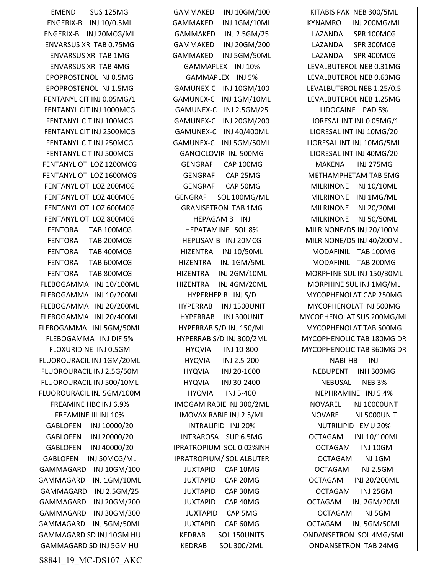GAMMAGARD SD INJ 5GM HU KEDRAB SOL 300/2ML ONDANSETRON TAB 24MG

EMEND SUS 125MG GAMMAKED INJ 10GM/100 KITABIS PAK NEB 300/5ML ENGERIX-B INJ 10/0.5ML GAMMAKED INJ 1GM/10ML KYNAMRO INJ 200MG/ML ENGERIX-B INJ 20MCG/ML GAMMAKED INJ 2.5GM/25 LAZANDA SPR 100MCG ENVARSUS XR TAB 0.75MG GAMMAKED INJ 20GM/200 LAZANDA SPR 300MCG ENVARSUS XR TAB 1MG GAMMAKED INJ 5GM/50ML LAZANDA SPR 400MCG ENVARSUS XR TAB 4MG GAMMAPLEX INJ 10% LEVALBUTEROL NEB 0.31MG EPOPROSTENOL INJ 0.5MG GAMMAPLEX INJ 5% LEVALBUTEROL NEB 0.63MG EPOPROSTENOL INJ 1.5MG GAMUNEX-C INJ 10GM/100 LEVALBUTEROL NEB 1.25/0.5 FENTANYL CIT INJ 0.05MG/1 GAMUNEX-C INJ 1GM/10ML LEVALBUTEROL NEB 1.25MG FENTANYL CIT INJ 1000MCG GAMUNEX-C INJ 2.5GM/25 LIDOCAINE PAD 5% FENTANYL CIT INJ 100MCG GAMUNEX-C INJ 20GM/200 LIORESAL INT INJ 0.05MG/1 FENTANYL CIT INJ 2500MCG GAMUNEX-C INJ 40/400ML LIORESAL INT INJ 10MG/20 FENTANYL CIT INJ 250MCG GAMUNEX-C INJ 5GM/50ML LIORESAL INT INJ 10MG/5ML FENTANYL CIT INJ 500MCG GANCICLOVIR INJ 500MG LIORESAL INT INJ 40MG/20 FENTANYL OT LOZ 1200MCG GENGRAF CAP 100MG MAKENA INJ 275MG FENTANYL OT LOZ 1600MCG GENGRAF CAP 25MG METHAMPHETAM TAB 5MG FENTANYL OT LOZ 200MCG GENGRAF CAP 50MG MILRINONE INJ 10/10ML FENTANYL OT LOZ 400MCG GENGRAF SOL 100MG/ML MILRINONE INJ 1MG/ML FENTANYL OT LOZ 600MCG **GRANISETRON TAB 1MG** MILRINONE INJ 20/20ML FENTANYL OT LOZ 800MCG 
HEPAGAM B INJ MILRINONE INJ 50/50ML FENTORA TAB 100MCG HEPATAMINE SOL 8% MILRINONE/D5 INJ 20/100ML FENTORA TAB 200MCG HEPLISAV-B INJ 20MCG MILRINONE/D5 INJ 40/200ML FENTORA TAB 400MCG HIZENTRA INJ 10/50ML MODAFINIL TAB 100MG FENTORA TAB 600MCG **HIZENTRA INJ 1GM/5ML MODAFINIL TAB 200MG** FENTORA TAB 800MCG HIZENTRA INJ 2GM/10ML MORPHINE SUL INJ 150/30ML FLEBOGAMMA INJ 10/100ML HIZENTRA INJ 4GM/20ML MORPHINE SUL INJ 1MG/ML FLEBOGAMMA INJ 10/200ML HYPERHEP B INJ S/D MYCOPHENOLAT CAP 250MG FLEBOGAMMA INJ 20/200ML HYPERRAB INJ 1500UNIT MYCOPHENOLAT INJ 500MG FLEBOGAMMA INJ 5GM/50ML HYPERRAB S/D INJ 150/ML MYCOPHENOLAT TAB 500MG FLUOROURACIL INJ 1GM/20ML HYQVIA INJ 2.5-200 NABI-HB INJ FLUOROURACIL INJ 2.5G/50M HYQVIA INJ 20-1600 NEBUPENT INH 300MG FLUOROURACIL INJ 500/10ML HYQVIA INJ 30-2400 NEBUSAL NEB 3% FLUOROURACIL INJ 5GM/100M HYQVIA INJ 5-400 NEPHRAMINE INJ 5.4% FREAMINE HBC INJ 6.9% IMOGAM RABIE INJ 300/2ML NOVAREL INJ 10000UNT FREAMINE III INJ 10% IMOVAX RABIE INJ 2.5/ML NOVAREL INJ 5000UNIT GABLOFEN INJ 10000/20 INTRALIPID INJ 20% NUTRILIPID EMU 20% GABLOFEN INJ 20000/20 INTRAROSA SUP 6.5MG OCTAGAM INJ 10/100ML GABLOFEN INJ 40000/20 IPRATROPIUM SOL 0.02%INH OCTAGAM INJ 10GM GABLOFEN INJ 50MCG/ML IPRATROPIUM/ SOL ALBUTER OCTAGAM INJ 1GM GAMMAGARD INJ 10GM/100 JUXTAPID CAP 10MG OCTAGAM INJ 2.5GM GAMMAGARD INJ 1GM/10ML JUXTAPID CAP 20MG OCTAGAM INJ 20/200ML GAMMAGARD INJ 2.5GM/25 JUXTAPID CAP 30MG OCTAGAM INJ 25GM GAMMAGARD INJ 20GM/200 JUXTAPID CAP 40MG OCTAGAM INJ 2GM/20ML GAMMAGARD INJ 30GM/300 JUXTAPID CAP 5MG OCTAGAM INJ 5GM GAMMAGARD INJ 5GM/50ML JUXTAPID CAP 60MG OCTAGAM INJ 5GM/50ML GAMMAGARD SD INJ 10GM HU KEDRAB SOL 150UNITS ONDANSETRON SOL 4MG/5ML

FLEBOGAMMA INJ 20/400ML HYPERRAB INJ 300UNIT MYCOPHENOLAT SUS 200MG/ML FLEBOGAMMA INJ DIF 5% HYPERRAB S/D INJ 300/2ML MYCOPHENOLIC TAB 180MG DR FLOXURIDINE INJ 0.5GM HYQVIA INJ 10-800 MYCOPHENOLIC TAB 360MG DR

S8841\_19\_MC-DS107\_AKC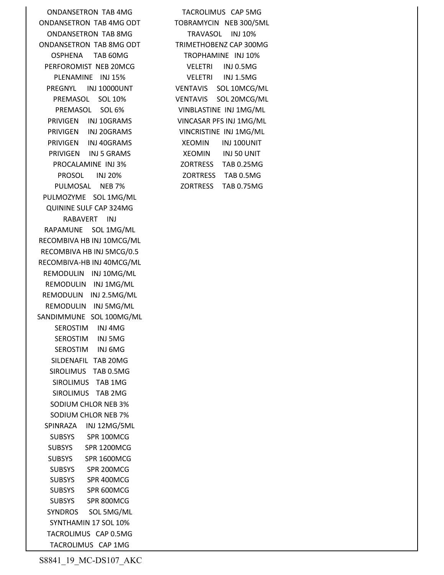ONDANSETRON TAB 4MG TACROLIMUS CAP 5MG ONDANSETRON TAB 4MG ODT TOBRAMYCIN NEB 300/5ML ONDANSETRON TAB 8MG TRAVASOL INJ 10% ONDANSETRON TAB 8MG ODT TRIMETHOBENZ CAP 300MG OSPHENA TAB 60MG TROPHAMINE INJ 10% PERFOROMIST NEB 20MCG VELETRI INJ 0.5MG PLENAMINE INJ15% VELETRI INJ1.5MG<br>REGNYL INJ10000UNT VENTAVIS SOL10MCG/ PREGNYL INJ 10000UNT VENTAVIS SOL 10MCG/ML PRIVIGEN INJ 10GRAMS VINCASAR PFS INJ 1MG/ML PRIVIGEN INJ 20GRAMS VINCRISTINE INJ 1MG/ML PRIVIGEN INJ 40GRAMS XEOMIN INJ 100UNIT PRIVIGEN INJ 5 GRAMS XEOMIN INJ 50 UNIT PULMOSAL NEB 7% ZORTRESS TAB 0.75MG PULMOZYME SOL 1MG/ML QUININE SULF CAP 324MG RABAVERT INJ RAPAMUNE SOL 1MG/ML RECOMBIVA HB INJ 10MCG/ML RECOMBIVA HB INJ 5MCG/0.5 RECOMBIVA-HB INJ 40MCG/ML REMODULIN INJ 10MG/ML REMODULIN INJ 1MG/ML REMODULIN INJ 2.5MG/ML REMODULIN INJ 5MG/ML SANDIMMUNE SOL 100MG/ML SEROSTIM INJ 4MG SEROSTIM INJ 5MG SEROSTIM INJ 6MG SILDENAFIL TAB 20MG SIROLIMUS TAB 0.5MG SIROLIMUS TAB 1MG SIROLIMUS TAB 2MG SODIUM CHLOR NEB 3% SODIUM CHLOR NEB 7% SPINRAZA INJ 12MG/5ML SUBSYS SPR 100MCG SUBSYS SPR 1200MCG SUBSYS SPR 1600MCG SUBSYS SPR 200MCG SUBSYS SPR 400MCG SUBSYS SPR 600MCG SUBSYS SPR 800MCG SYNDROS SOL 5MG/ML SYNTHAMIN 17 SOL 10% TACROLIMUS CAP 0.5MG TACROLIMUS CAP 1MG

PREMASOL SOL 10% VENTAVIS SOL 20MCG/ML PREMASOL SOL 6% VINBLASTINE INJ 1MG/ML PROCALAMINE INJ 3% ZORTRESS TAB 0.25MG PROSOL INJ 20% ZORTRESS TAB 0.5MG

S8841\_19\_MC-DS107\_AKC